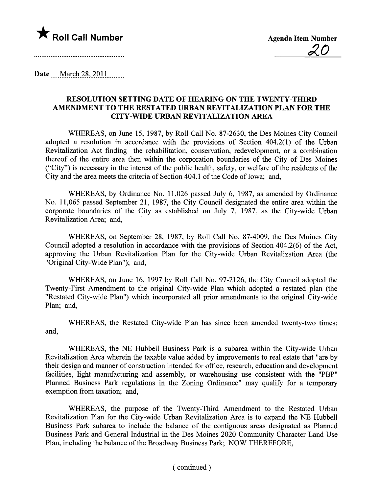

Date March 28, 2011

## RESOLUTION SETTING DATE OF HEARING ON THE TWENTY-THIRD AMENDMENT TO THE RESTATED URBAN REVITALIZATION PLAN FOR THE CITY-WIDE URBAN REVITALIZATION AREA

WHEREAS, on June 15, 1987, by Roll Call No. 87-2630, the Des Moines City Council adopted a resolution in accordance with the provisions of Section 404.2(1) of the Urban Revitalization Act finding the rehabilitation, conservation, redevelopment, or a combination thereof of the entire area then within the corporation boundaries of the City of Des Moines ("City") is necessary in the interest of the public health, safety, or welfare of the residents of the City and the area meets the criteria of Section 404.1 of the Code of Iowa; and,

WHEREAS, by Ordinance No.1 1,026 passed July 6, 1987, as amended by Ordinance No. 11,065 passed September 21, 1987, the City Council designated the entire area within the corporate boundaries of the City as established on July 7, 1987, as the City-wide Urban Revitalization Area; and,

WHEREAS, on September 28, 1987, by Roll Call No. 87-4009, the Des Moines City Council adopted a resolution in accordance with the provisions of Section 404.2(6) of the Act, approving the Urban Revitalization Plan for the City-wide Urban Revitalization Area (the "Original City-Wide Plan"); and,

WHEREAS, on June 16, 1997 by Roll Call No. 97-2126, the City Council adopted the Twenty-First Amendment to the original City-wide Plan which adopted a restated plan (the "Restated City-wide Plan") which incorporated all prior amendments to the original City-wide Plan; and,

WHEREAS, the Restated City-wide Plan has since been amended twenty-two times; and,

WHEREAS, the NE Hubbell Business Park is a subarea within the City-wide Urban Revitalization Area wherein the taxable value added by improvements to real estate that "are by their design and manner of construction intended for office, research, education and development facilities, light manufacturing and assembly, or warehousing use consistent with the "PBP" Planned Business Park regulations in the Zoning Ordinance" may qualify for a temporary exemption from taxation; and,

WHEREAS, the purpose of the Twenty-Third Amendment to the Restated Urban Revitalization Plan for the City-wide Urban Revitalization Area is to expand the NE Hubbell Business Park subarea to include the balance of the contiguous areas designated as Planed Business Park and General Industrial in the Des Moines 2020 Community Character Land Use Plan, including the balance of the Broadway Business Park; NOW THEREFORE,